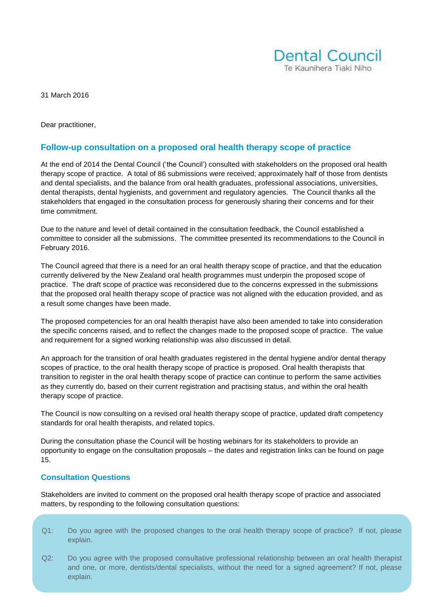

31 March 2016

Dear practitioner,

# **Follow-up consultation on a proposed oral health therapy scope of practice**

At the end of 2014 the Dental Council ('the Council') consulted with stakeholders on the proposed oral health therapy scope of practice. A total of 86 submissions were received; approximately half of those from dentists and dental specialists, and the balance from oral health graduates, professional associations, universities, dental therapists, dental hygienists, and government and regulatory agencies. The Council thanks all the stakeholders that engaged in the consultation process for generously sharing their concerns and for their time commitment.

Due to the nature and level of detail contained in the consultation feedback, the Council established a committee to consider all the submissions. The committee presented its recommendations to the Council in February 2016.

The Council agreed that there is a need for an oral health therapy scope of practice, and that the education currently delivered by the New Zealand oral health programmes must underpin the proposed scope of practice. The draft scope of practice was reconsidered due to the concerns expressed in the submissions that the proposed oral health therapy scope of practice was not aligned with the education provided, and as a result some changes have been made.

The proposed competencies for an oral health therapist have also been amended to take into consideration the specific concerns raised, and to reflect the changes made to the proposed scope of practice. The value and requirement for a signed working relationship was also discussed in detail.

An approach for the transition of oral health graduates registered in the dental hygiene and/or dental therapy scopes of practice, to the oral health therapy scope of practice is proposed. Oral health therapists that transition to register in the oral health therapy scope of practice can continue to perform the same activities as they currently do, based on their current registration and practising status, and within the oral health therapy scope of practice.

The Council is now consulting on a revised oral health therapy scope of practice, updated draft competency standards for oral health therapists, and related topics.

During the consultation phase the Council will be hosting webinars for its stakeholders to provide an opportunity to engage on the consultation proposals – the dates and registration links can be found on page 15.

#### **Consultation Questions**

Stakeholders are invited to comment on the proposed oral health therapy scope of practice and associated matters, by responding to the following consultation questions:

- Q1: Do you agree with the proposed changes to the oral health therapy scope of practice? If not, please explain.
- Q2: Do you agree with the proposed consultative professional relationship between an oral health therapist and one, or more, dentists/dental specialists, without the need for a signed agreement? If not, please explain.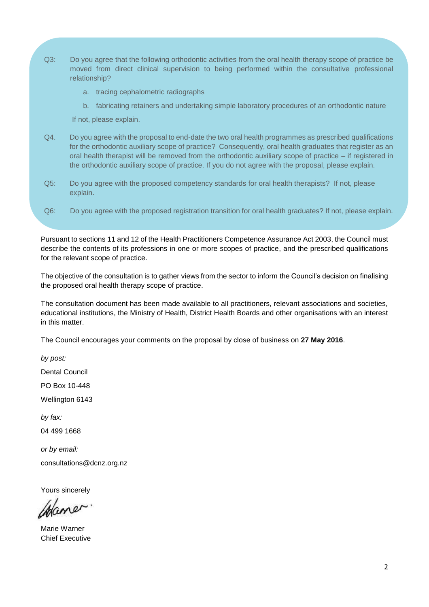- Q3: Do you agree that the following orthodontic activities from the oral health therapy scope of practice be moved from direct clinical supervision to being performed within the consultative professional relationship?
	- a. tracing cephalometric radiographs
	- b. fabricating retainers and undertaking simple laboratory procedures of an orthodontic nature

If not, please explain.

- Q4. Do you agree with the proposal to end-date the two oral health programmes as prescribed qualifications for the orthodontic auxiliary scope of practice? Consequently, oral health graduates that register as an oral health therapist will be removed from the orthodontic auxiliary scope of practice – if registered in the orthodontic auxiliary scope of practice. If you do not agree with the proposal, please explain.
- Q5: Do you agree with the proposed competency standards for oral health therapists? If not, please explain.
- Q6: Do you agree with the proposed registration transition for oral health graduates? If not, please explain.

Pursuant to sections 11 and 12 of the Health Practitioners Competence Assurance Act 2003, the Council must describe the contents of its professions in one or more scopes of practice, and the prescribed qualifications for the relevant scope of practice.

The objective of the consultation is to gather views from the sector to inform the Council's decision on finalising the proposed oral health therapy scope of practice.

The consultation document has been made available to all practitioners, relevant associations and societies, educational institutions, the Ministry of Health, District Health Boards and other organisations with an interest in this matter.

The Council encourages your comments on the proposal by close of business on **27 May 2016**.

*by post:*

Dental Council

PO Box 10-448

Wellington 6143

*by fax:*

04 499 1668

*or by email:* [consultations@dcnz.org.nz](mailto:consultations@dcnz.org.nz)

Yours sincerely

Mame

Marie Warner Chief Executive*ds Framework for Oral Health Practitioners*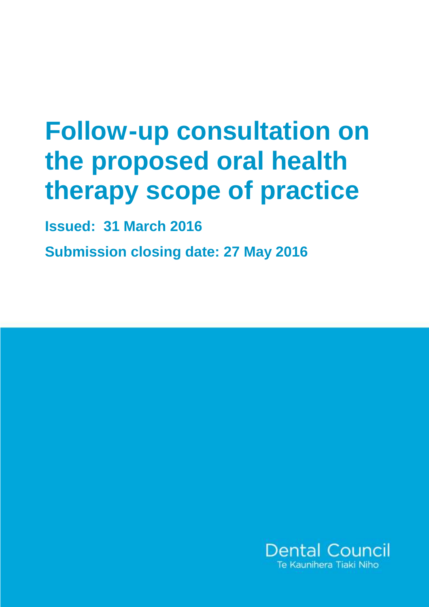# **Follow-up consultation on the proposed oral health therapy scope of practice**

**Issued: 31 March 2016**

**Submission closing date: 27 May 2016**

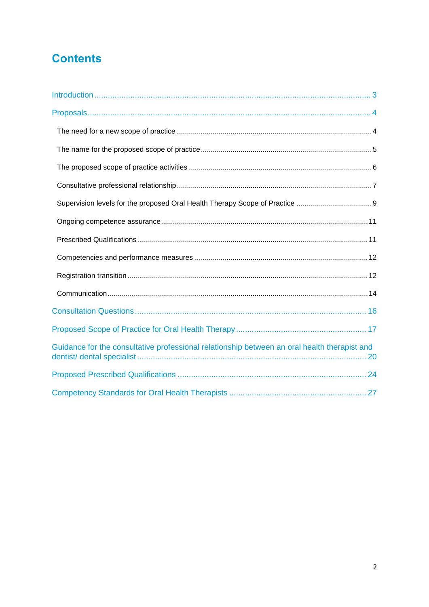# **Contents**

| Guidance for the consultative professional relationship between an oral health therapist and |  |
|----------------------------------------------------------------------------------------------|--|
|                                                                                              |  |
|                                                                                              |  |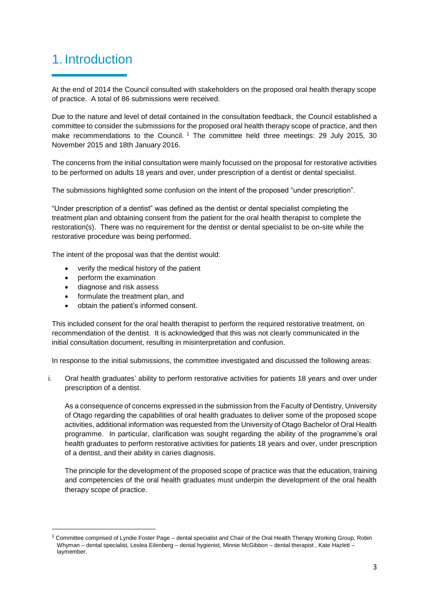# <span id="page-4-0"></span>1. Introduction

At the end of 2014 the Council consulted with stakeholders on the proposed oral health therapy scope of practice. A total of 86 submissions were received.

Due to the nature and level of detail contained in the consultation feedback, the Council established a committee to consider the submissions for the proposed oral health therapy scope of practice, and then make recommendations to the Council. <sup>1</sup> The committee held three meetings: 29 July 2015, 30 November 2015 and 18th January 2016.

The concerns from the initial consultation were mainly focussed on the proposal for restorative activities to be performed on adults 18 years and over, under prescription of a dentist or dental specialist.

The submissions highlighted some confusion on the intent of the proposed "under prescription".

"Under prescription of a dentist" was defined as the dentist or dental specialist completing the treatment plan and obtaining consent from the patient for the oral health therapist to complete the restoration(s). There was no requirement for the dentist or dental specialist to be on-site while the restorative procedure was being performed.

The intent of the proposal was that the dentist would:

- verify the medical history of the patient
- perform the examination
- diagnose and risk assess

**.** 

- formulate the treatment plan, and
- obtain the patient's informed consent.

This included consent for the oral health therapist to perform the required restorative treatment, on recommendation of the dentist. It is acknowledged that this was not clearly communicated in the initial consultation document, resulting in misinterpretation and confusion.

In response to the initial submissions, the committee investigated and discussed the following areas:

i. Oral health graduates' ability to perform restorative activities for patients 18 years and over under prescription of a dentist.

As a consequence of concerns expressed in the submission from the Faculty of Dentistry, University of Otago regarding the capabilities of oral health graduates to deliver some of the proposed scope activities, additional information was requested from the University of Otago Bachelor of Oral Health programme. In particular, clarification was sought regarding the ability of the programme's oral health graduates to perform restorative activities for patients 18 years and over, under prescription of a dentist, and their ability in caries diagnosis.

The principle for the development of the proposed scope of practice was that the education, training and competencies of the oral health graduates must underpin the development of the oral health therapy scope of practice.

 $1$  Committee comprised of Lyndie Foster Page – dental specialist and Chair of the Oral Health Therapy Working Group, Robin Whyman – dental specialist, Leslea Eilenberg – dental hygienist, Minnie McGibbon – dental therapist , Kate Hazlett – laymember.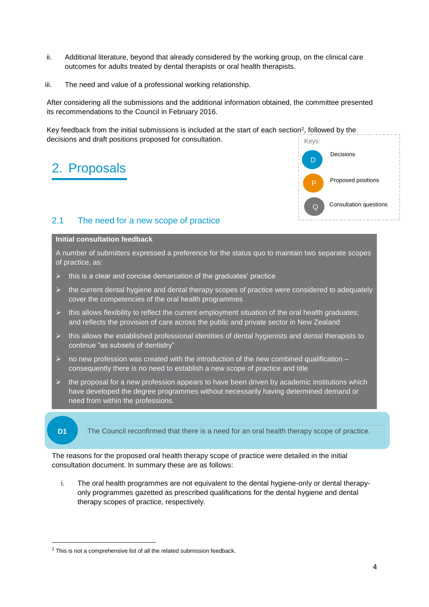- ii. Additional literature, beyond that already considered by the working group, on the clinical care outcomes for adults treated by dental therapists or oral health therapists.
- iii. The need and value of a professional working relationship.

After considering all the submissions and the additional information obtained, the committee presented its recommendations to the Council in February 2016.

Key feedback from the initial submissions is included at the start of each section<sup>2</sup>, followed by the decisions and draft positions proposed for consultation.

# <span id="page-5-0"></span>2. Proposals



# <span id="page-5-1"></span>2.1 The need for a new scope of practice

#### **Initial consultation feedback**

A number of submitters expressed a preference for the status quo to maintain two separate scopes of practice, as:

- this is a clear and concise demarcation of the graduates' practice
- $\triangleright$  the current dental hygiene and dental therapy scopes of practice were considered to adequately cover the competencies of the oral health programmes
- $\triangleright$  this allows flexibility to reflect the current employment situation of the oral health graduates; and reflects the provision of care across the public and private sector in New Zealand
- $\triangleright$  this allows the established professional identities of dental hygienists and dental therapists to continue "as subsets of dentistry"
- $\triangleright$  no new profession was created with the introduction of the new combined qualification consequently there is no need to establish a new scope of practice and title
- the proposal for a new profession appears to have been driven by academic institutions which have developed the degree programmes without necessarily having determined demand or need from within the professions.



**.** 

**D1** The Council reconfirmed that there is a need for an oral health therapy scope of practice.

The reasons for the proposed oral health therapy scope of practice were detailed in the initial consultation document. In summary these are as follows:

i. The oral health programmes are not equivalent to the dental hygiene-only or dental therapyonly programmes gazetted as prescribed qualifications for the dental hygiene and dental therapy scopes of practice, respectively.

 $2$  This is not a comprehensive list of all the related submission feedback.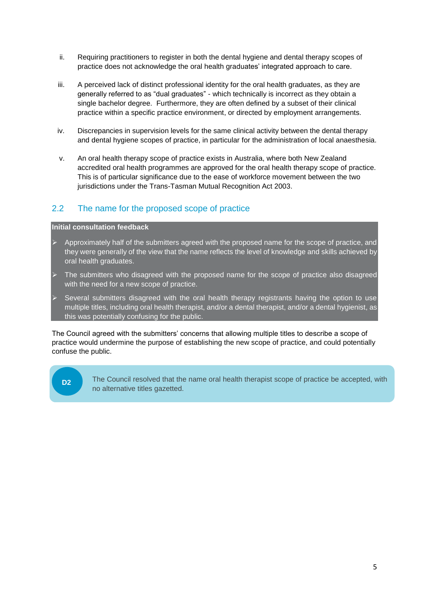- ii. Requiring practitioners to register in both the dental hygiene and dental therapy scopes of practice does not acknowledge the oral health graduates' integrated approach to care.
- iii. A perceived lack of distinct professional identity for the oral health graduates, as they are generally referred to as "dual graduates" - which technically is incorrect as they obtain a single bachelor degree. Furthermore, they are often defined by a subset of their clinical practice within a specific practice environment, or directed by employment arrangements.
- iv. Discrepancies in supervision levels for the same clinical activity between the dental therapy and dental hygiene scopes of practice, in particular for the administration of local anaesthesia.
- v. An oral health therapy scope of practice exists in Australia, where both New Zealand accredited oral health programmes are approved for the oral health therapy scope of practice. This is of particular significance due to the ease of workforce movement between the two jurisdictions under the Trans-Tasman Mutual Recognition Act 2003.

# <span id="page-6-0"></span>2.2 The name for the proposed scope of practice

#### **Initial consultation feedback**

- Approximately half of the submitters agreed with the proposed name for the scope of practice, and they were generally of the view that the name reflects the level of knowledge and skills achieved by oral health graduates.
- The submitters who disagreed with the proposed name for the scope of practice also disagreed with the need for a new scope of practice.
- Several submitters disagreed with the oral health therapy registrants having the option to use multiple titles, including oral health therapist, and/or a dental therapist, and/or a dental hygienist, as this was potentially confusing for the public.

The Council agreed with the submitters' concerns that allowing multiple titles to describe a scope of practice would undermine the purpose of establishing the new scope of practice, and could potentially confuse the public.

<span id="page-6-1"></span>**D2**

The Council resolved that the name oral health therapist scope of practice be accepted, with no alternative titles gazetted.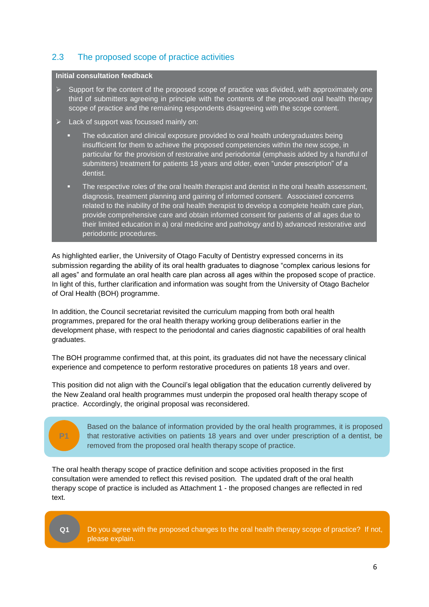# 2.3 The proposed scope of practice activities

#### **Initial consultation feedback**

- $\triangleright$  Support for the content of the proposed scope of practice was divided, with approximately one third of submitters agreeing in principle with the contents of the proposed oral health therapy scope of practice and the remaining respondents disagreeing with the scope content.
- $\triangleright$  Lack of support was focussed mainly on:
	- The education and clinical exposure provided to oral health undergraduates being insufficient for them to achieve the proposed competencies within the new scope, in particular for the provision of restorative and periodontal (emphasis added by a handful of submitters) treatment for patients 18 years and older, even "under prescription" of a dentist.
	- The respective roles of the oral health therapist and dentist in the oral health assessment, diagnosis, treatment planning and gaining of informed consent. Associated concerns related to the inability of the oral health therapist to develop a complete health care plan, provide comprehensive care and obtain informed consent for patients of all ages due to their limited education in a) oral medicine and pathology and b) advanced restorative and periodontic procedures.

As highlighted earlier, the University of Otago Faculty of Dentistry expressed concerns in its submission regarding the ability of its oral health graduates to diagnose "complex carious lesions for all ages" and formulate an oral health care plan across all ages within the proposed scope of practice. In light of this, further clarification and information was sought from the University of Otago Bachelor of Oral Health (BOH) programme.

In addition, the Council secretariat revisited the curriculum mapping from both oral health programmes, prepared for the oral health therapy working group deliberations earlier in the development phase, with respect to the periodontal and caries diagnostic capabilities of oral health graduates.

The BOH programme confirmed that, at this point, its graduates did not have the necessary clinical experience and competence to perform restorative procedures on patients 18 years and over.

This position did not align with the Council's legal obligation that the education currently delivered by the New Zealand oral health programmes must underpin the proposed oral health therapy scope of practice. Accordingly, the original proposal was reconsidered.

# **P1**

Based on the balance of information provided by the oral health programmes, it is proposed that restorative activities on patients 18 years and over under prescription of a dentist, be removed from the proposed oral health therapy scope of practice.

The oral health therapy scope of practice definition and scope activities proposed in the first consultation were amended to reflect this revised position. The updated draft of the oral health therapy scope of practice is included as Attachment 1 - the proposed changes are reflected in red text.



Do you agree with the proposed changes to the oral health therapy scope of practice? If not, please explain.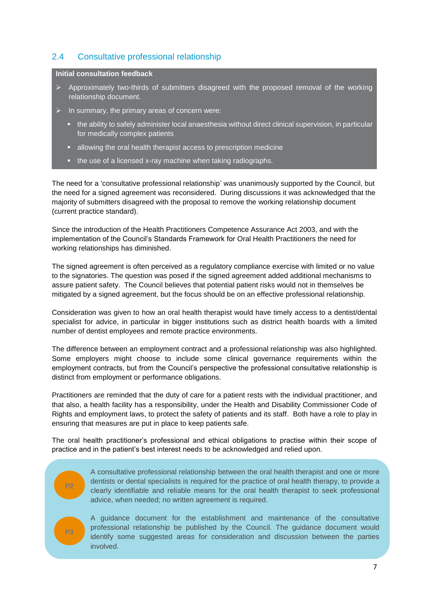# <span id="page-8-0"></span>2.4 Consultative professional relationship

#### **Initial consultation feedback**

- $\triangleright$  Approximately two-thirds of submitters disagreed with the proposed removal of the working relationship document.
- $\triangleright$  In summary, the primary areas of concern were:
	- the ability to safely administer local anaesthesia without direct clinical supervision, in particular for medically complex patients
	- allowing the oral health therapist access to prescription medicine
	- the use of a licensed x-ray machine when taking radiographs.

The need for a 'consultative professional relationship' was unanimously supported by the Council, but the need for a signed agreement was reconsidered. During discussions it was acknowledged that the majority of submitters disagreed with the proposal to remove the working relationship document (current practice standard).

Since the introduction of the Health Practitioners Competence Assurance Act 2003, and with the implementation of the Council's Standards Framework for Oral Health Practitioners the need for working relationships has diminished.

The signed agreement is often perceived as a regulatory compliance exercise with limited or no value to the signatories. The question was posed if the signed agreement added additional mechanisms to assure patient safety. The Council believes that potential patient risks would not in themselves be mitigated by a signed agreement, but the focus should be on an effective professional relationship.

Consideration was given to how an oral health therapist would have timely access to a dentist/dental specialist for advice, in particular in bigger institutions such as district health boards with a limited number of dentist employees and remote practice environments.

The difference between an employment contract and a professional relationship was also highlighted. Some employers might choose to include some clinical governance requirements within the employment contracts, but from the Council's perspective the professional consultative relationship is distinct from employment or performance obligations.

Practitioners are reminded that the duty of care for a patient rests with the individual practitioner, and that also, a health facility has a responsibility, under the Health and Disability Commissioner Code of Rights and employment laws, to protect the safety of patients and its staff. Both have a role to play in ensuring that measures are put in place to keep patients safe.

The oral health practitioner's professional and ethical obligations to practise within their scope of practice and in the patient's best interest needs to be acknowledged and relied upon.

**P2 P3** A consultative professional relationship between the oral health therapist and one or more dentists or dental specialists is required for the practice of oral health therapy, to provide a clearly identifiable and reliable means for the oral health therapist to seek professional advice, when needed; no written agreement is required.

A guidance document for the establishment and maintenance of the consultative professional relationship be published by the Council. The guidance document would identify some suggested areas for consideration and discussion between the parties involved.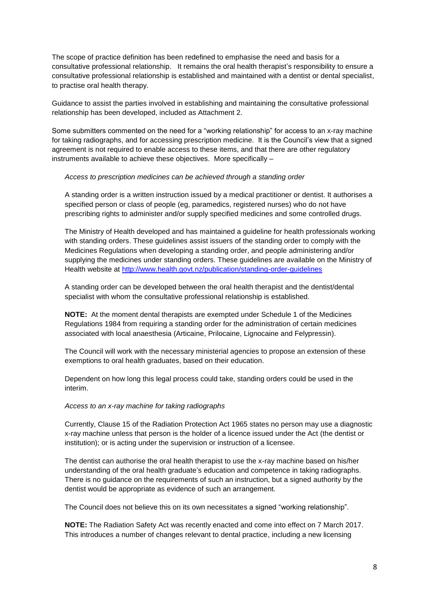The scope of practice definition has been redefined to emphasise the need and basis for a consultative professional relationship. It remains the oral health therapist's responsibility to ensure a consultative professional relationship is established and maintained with a dentist or dental specialist, to practise oral health therapy.

Guidance to assist the parties involved in establishing and maintaining the consultative professional relationship has been developed, included as Attachment 2.

Some submitters commented on the need for a "working relationship" for access to an x-ray machine for taking radiographs, and for accessing prescription medicine. It is the Council's view that a signed agreement is not required to enable access to these items, and that there are other regulatory instruments available to achieve these objectives. More specifically –

*Access to prescription medicines can be achieved through a standing order* 

A standing order is a written instruction issued by a medical practitioner or dentist. It authorises a specified person or class of people (eg, paramedics, registered nurses) who do not have prescribing rights to administer and/or supply specified medicines and some controlled drugs.

The Ministry of Health developed and has maintained a guideline for health professionals working with standing orders. These guidelines assist issuers of the standing order to comply with the Medicines Regulations when developing a standing order, and people administering and/or supplying the medicines under standing orders. These guidelines are available on the Ministry of Health website at<http://www.health.govt.nz/publication/standing-order-guidelines>

A standing order can be developed between the oral health therapist and the dentist/dental specialist with whom the consultative professional relationship is established.

**NOTE:** At the moment dental therapists are exempted under Schedule 1 of the Medicines Regulations 1984 from requiring a standing order for the administration of certain medicines associated with local anaesthesia (Articaine, Prilocaine, Lignocaine and Felypressin).

The Council will work with the necessary ministerial agencies to propose an extension of these exemptions to oral health graduates, based on their education.

Dependent on how long this legal process could take, standing orders could be used in the interim.

#### *Access to an x-ray machine for taking radiographs*

Currently, Clause 15 of the Radiation Protection Act 1965 states no person may use a diagnostic x-ray machine unless that person is the holder of a licence issued under the Act (the dentist or institution); or is acting under the supervision or instruction of a licensee.

The dentist can authorise the oral health therapist to use the x-ray machine based on his/her understanding of the oral health graduate's education and competence in taking radiographs. There is no guidance on the requirements of such an instruction, but a signed authority by the dentist would be appropriate as evidence of such an arrangement.

The Council does not believe this on its own necessitates a signed "working relationship".

**NOTE:** The Radiation Safety Act was recently enacted and come into effect on 7 March 2017. This introduces a number of changes relevant to dental practice, including a new licensing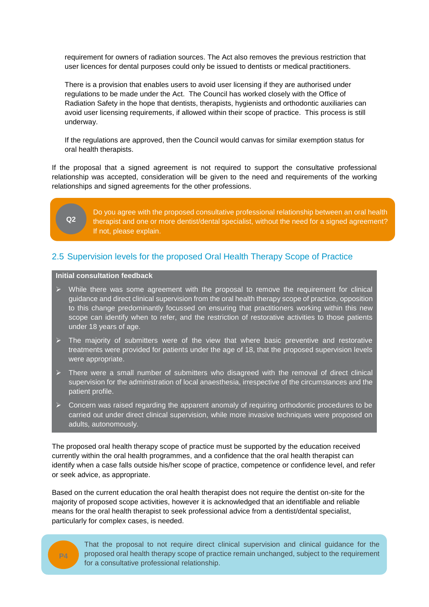requirement for owners of radiation sources. The Act also removes the previous restriction that user licences for dental purposes could only be issued to dentists or medical practitioners.

There is a provision that enables users to avoid user licensing if they are authorised under regulations to be made under the Act. The Council has worked closely with the Office of Radiation Safety in the hope that dentists, therapists, hygienists and orthodontic auxiliaries can avoid user licensing requirements, if allowed within their scope of practice. This process is still underway.

If the regulations are approved, then the Council would canvas for similar exemption status for oral health therapists.

If the proposal that a signed agreement is not required to support the consultative professional relationship was accepted, consideration will be given to the need and requirements of the working relationships and signed agreements for the other professions.

# <u>ስን</u>

Do you agree with the proposed consultative professional relationship between an oral health therapist and one or more dentist/dental specialist, without the need for a signed agreement? If not, please explain.

# <span id="page-10-0"></span>2.5 Supervision levels for the proposed Oral Health Therapy Scope of Practice

#### **Initial consultation feedback**

- $\triangleright$  While there was some agreement with the proposal to remove the requirement for clinical guidance and direct clinical supervision from the oral health therapy scope of practice, opposition to this change predominantly focussed on ensuring that practitioners working within this new scope can identify when to refer, and the restriction of restorative activities to those patients under 18 years of age.
- $\triangleright$  The majority of submitters were of the view that where basic preventive and restorative treatments were provided for patients under the age of 18, that the proposed supervision levels were appropriate.
- $\triangleright$  There were a small number of submitters who disagreed with the removal of direct clinical supervision for the administration of local anaesthesia, irrespective of the circumstances and the patient profile.
- $\triangleright$  Concern was raised regarding the apparent anomaly of requiring orthodontic procedures to be carried out under direct clinical supervision, while more invasive techniques were proposed on adults, autonomously.

The proposed oral health therapy scope of practice must be supported by the education received currently within the oral health programmes, and a confidence that the oral health therapist can identify when a case falls outside his/her scope of practice, competence or confidence level, and refer or seek advice, as appropriate.

Based on the current education the oral health therapist does not require the dentist on-site for the majority of proposed scope activities, however it is acknowledged that an identifiable and reliable means for the oral health therapist to seek professional advice from a dentist/dental specialist, particularly for complex cases, is needed.



That the proposal to not require direct clinical supervision and clinical guidance for the proposed oral health therapy scope of practice remain unchanged, subject to the requirement for a consultative professional relationship.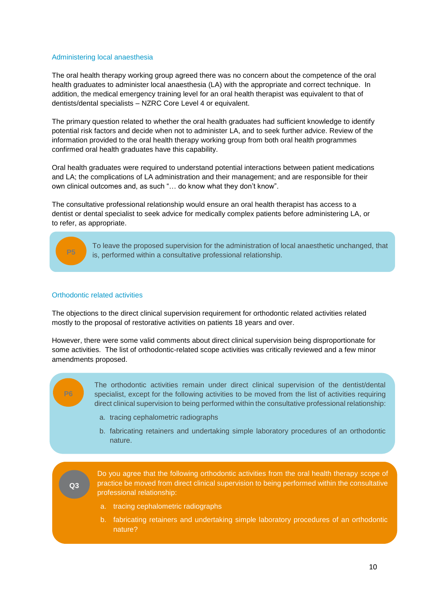#### Administering local anaesthesia

The oral health therapy working group agreed there was no concern about the competence of the oral health graduates to administer local anaesthesia (LA) with the appropriate and correct technique. In addition, the medical emergency training level for an oral health therapist was equivalent to that of dentists/dental specialists – NZRC Core Level 4 or equivalent.

The primary question related to whether the oral health graduates had sufficient knowledge to identify potential risk factors and decide when not to administer LA, and to seek further advice. Review of the information provided to the oral health therapy working group from both oral health programmes confirmed oral health graduates have this capability.

Oral health graduates were required to understand potential interactions between patient medications and LA; the complications of LA administration and their management; and are responsible for their own clinical outcomes and, as such "… do know what they don't know".

The consultative professional relationship would ensure an oral health therapist has access to a dentist or dental specialist to seek advice for medically complex patients before administering LA, or to refer, as appropriate.



To leave the proposed supervision for the administration of local anaesthetic unchanged, that is, performed within a consultative professional relationship. **P5**

#### Orthodontic related activities

The objections to the direct clinical supervision requirement for orthodontic related activities related mostly to the proposal of restorative activities on patients 18 years and over.

However, there were some valid comments about direct clinical supervision being disproportionate for some activities. The list of orthodontic-related scope activities was critically reviewed and a few minor amendments proposed.

The orthodontic activities remain under direct clinical supervision of the dentist/dental specialist, except for the following activities to be moved from the list of activities requiring direct clinical supervision to being performed within the consultative professional relationship:

- a. tracing cephalometric radiographs
- b. fabricating retainers and undertaking simple laboratory procedures of an orthodontic nature.

**Q3**

Do you agree that the following orthodontic activities from the oral health therapy scope of practice be moved from direct clinical supervision to being performed within the consultative professional relationship:

a. tracing cephalometric radiographs

If not, please explain.

b. fabricating retainers and undertaking simple laboratory procedures of an orthodontic nature?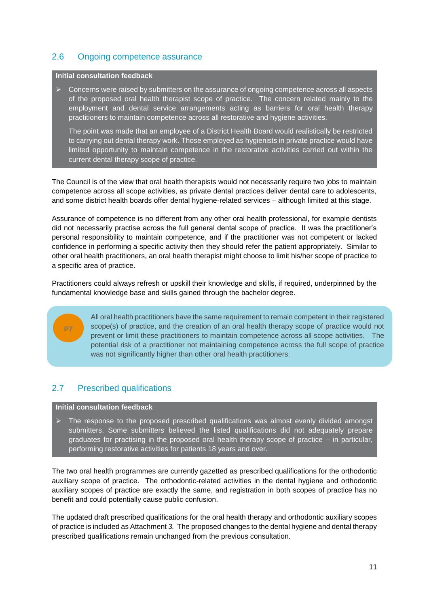# <span id="page-12-0"></span>2.6 Ongoing competence assurance

#### **Initial consultation feedback**

 $\triangleright$  Concerns were raised by submitters on the assurance of ongoing competence across all aspects of the proposed oral health therapist scope of practice. The concern related mainly to the employment and dental service arrangements acting as barriers for oral health therapy practitioners to maintain competence across all restorative and hygiene activities.

The point was made that an employee of a District Health Board would realistically be restricted to carrying out dental therapy work. Those employed as hygienists in private practice would have limited opportunity to maintain competence in the restorative activities carried out within the current dental therapy scope of practice.

The Council is of the view that oral health therapists would not necessarily require two jobs to maintain competence across all scope activities, as private dental practices deliver dental care to adolescents, and some district health boards offer dental hygiene-related services – although limited at this stage.

Assurance of competence is no different from any other oral health professional, for example dentists did not necessarily practise across the full general dental scope of practice. It was the practitioner's personal responsibility to maintain competence, and if the practitioner was not competent or lacked confidence in performing a specific activity then they should refer the patient appropriately. Similar to other oral health practitioners, an oral health therapist might choose to limit his/her scope of practice to a specific area of practice.

Practitioners could always refresh or upskill their knowledge and skills, if required, underpinned by the fundamental knowledge base and skills gained through the bachelor degree.



All oral health practitioners have the same requirement to remain competent in their registered scope(s) of practice, and the creation of an oral health therapy scope of practice would not prevent or limit these practitioners to maintain competence across all scope activities. The potential risk of a practitioner not maintaining competence across the full scope of practice was not significantly higher than other oral health practitioners.

# <span id="page-12-1"></span>2.7 Prescribed qualifications

#### **Initial consultation feedback**

 $\triangleright$  The response to the proposed prescribed qualifications was almost evenly divided amongst submitters. Some submitters believed the listed qualifications did not adequately prepare graduates for practising in the proposed oral health therapy scope of practice – in particular, performing restorative activities for patients 18 years and over.

The two oral health programmes are currently gazetted as prescribed qualifications for the orthodontic auxiliary scope of practice. The orthodontic-related activities in the dental hygiene and orthodontic auxiliary scopes of practice are exactly the same, and registration in both scopes of practice has no benefit and could potentially cause public confusion.

The updated draft prescribed qualifications for the oral health therapy and orthodontic auxiliary scopes of practice is included as Attachment *3.* The proposed changes to the dental hygiene and dental therapy prescribed qualifications remain unchanged from the previous consultation.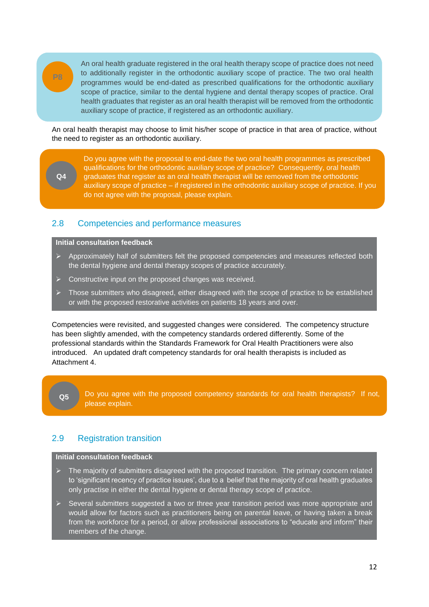

An oral health graduate registered in the oral health therapy scope of practice does not need to additionally register in the orthodontic auxiliary scope of practice. The two oral health programmes would be end-dated as prescribed qualifications for the orthodontic auxiliary scope of practice, similar to the dental hygiene and dental therapy scopes of practice. Oral health graduates that register as an oral health therapist will be removed from the orthodontic auxiliary scope of practice, if registered as an orthodontic auxiliary.

An oral health therapist may choose to limit his/her scope of practice in that area of practice, without the need to register as an orthodontic auxiliary.

**Q4**

Do you agree with the proposal to end-date the two oral health programmes as prescribed qualifications for the orthodontic auxiliary scope of practice? Consequently, oral health graduates that register as an oral health therapist will be removed from the orthodontic auxiliary scope of practice – if registered in the orthodontic auxiliary scope of practice. If you do not agree with the proposal, please explain.

# <span id="page-13-0"></span>2.8 Competencies and performance measures

# **Initial consultation feedback**

- $\triangleright$  Approximately half of submitters felt the proposed competencies and measures reflected both the dental hygiene and dental therapy scopes of practice accurately.
- $\triangleright$  Constructive input on the proposed changes was received.
- Those submitters who disagreed, either disagreed with the scope of practice to be established or with the proposed restorative activities on patients 18 years and over.

Competencies were revisited, and suggested changes were considered. The competency structure has been slightly amended, with the competency standards ordered differently. Some of the professional standards within the Standards Framework for Oral Health Practitioners were also introduced. An updated draft competency standards for oral health therapists is included as Attachment 4.

Do you agree with the proposed competency standards for oral health therapists? If not, please explain. **Q5**

## <span id="page-13-1"></span>2.9 Registration transition

#### **Initial consultation feedback**

- $\triangleright$  The majority of submitters disagreed with the proposed transition. The primary concern related to 'significant recency of practice issues', due to a belief that the majority of oral health graduates only practise in either the dental hygiene or dental therapy scope of practice.
- $\triangleright$  Several submitters suggested a two or three year transition period was more appropriate and would allow for factors such as practitioners being on parental leave, or having taken a break from the workforce for a period, or allow professional associations to "educate and inform" their members of the change.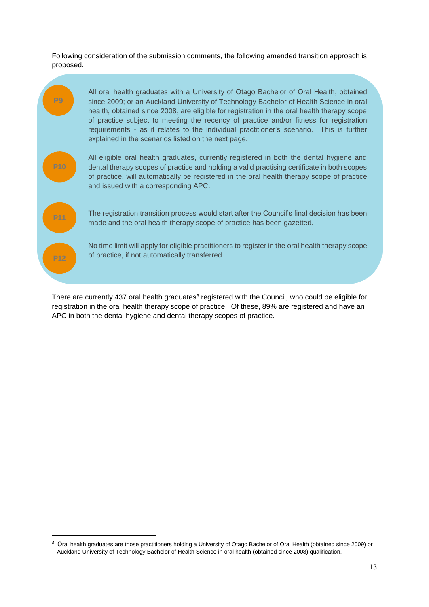Following consideration of the submission comments, the following amended transition approach is proposed.



There are currently 437 oral health graduates<sup>3</sup> registered with the Council, who could be eligible for registration in the oral health therapy scope of practice. Of these, 89% are registered and have an APC in both the dental hygiene and dental therapy scopes of practice.

1

<sup>&</sup>lt;sup>3</sup> Oral health graduates are those practitioners holding a University of Otago Bachelor of Oral Health (obtained since 2009) or Auckland University of Technology Bachelor of Health Science in oral health (obtained since 2008) qualification.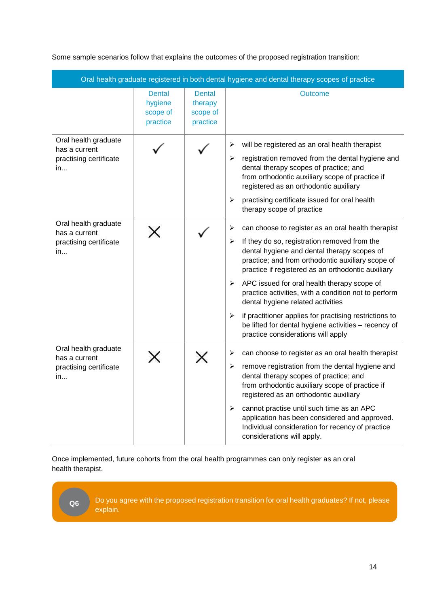Some sample scenarios follow that explains the outcomes of the proposed registration transition:

| Oral health graduate registered in both dental hygiene and dental therapy scopes of practice |                                                  |                                                  |                                                                                                                                                                                                                                                                                                                                                                                                                                                                                                                                                                                      |
|----------------------------------------------------------------------------------------------|--------------------------------------------------|--------------------------------------------------|--------------------------------------------------------------------------------------------------------------------------------------------------------------------------------------------------------------------------------------------------------------------------------------------------------------------------------------------------------------------------------------------------------------------------------------------------------------------------------------------------------------------------------------------------------------------------------------|
|                                                                                              | <b>Dental</b><br>hygiene<br>scope of<br>practice | <b>Dental</b><br>therapy<br>scope of<br>practice | <b>Outcome</b>                                                                                                                                                                                                                                                                                                                                                                                                                                                                                                                                                                       |
| Oral health graduate<br>has a current<br>practising certificate<br>in                        |                                                  |                                                  | will be registered as an oral health therapist<br>➤<br>registration removed from the dental hygiene and<br>⋗<br>dental therapy scopes of practice; and<br>from orthodontic auxiliary scope of practice if<br>registered as an orthodontic auxiliary<br>practising certificate issued for oral health<br>➤<br>therapy scope of practice                                                                                                                                                                                                                                               |
| Oral health graduate<br>has a current<br>practising certificate<br>in                        | X                                                |                                                  | can choose to register as an oral health therapist<br>➤<br>If they do so, registration removed from the<br>⋗<br>dental hygiene and dental therapy scopes of<br>practice; and from orthodontic auxiliary scope of<br>practice if registered as an orthodontic auxiliary<br>APC issued for oral health therapy scope of<br>➤<br>practice activities, with a condition not to perform<br>dental hygiene related activities<br>if practitioner applies for practising restrictions to<br>➤<br>be lifted for dental hygiene activities - recency of<br>practice considerations will apply |
| Oral health graduate<br>has a current<br>practising certificate<br>in                        |                                                  | ×                                                | can choose to register as an oral health therapist<br>⋗<br>remove registration from the dental hygiene and<br>➤<br>dental therapy scopes of practice; and<br>from orthodontic auxiliary scope of practice if<br>registered as an orthodontic auxiliary<br>cannot practise until such time as an APC<br>➤<br>application has been considered and approved.<br>Individual consideration for recency of practice<br>considerations will apply.                                                                                                                                          |

Once implemented, future cohorts from the oral health programmes can only register as an oral health therapist.

<span id="page-15-0"></span>**Q6**

Do you agree with the proposed registration transition for oral health graduates? If not, please explain.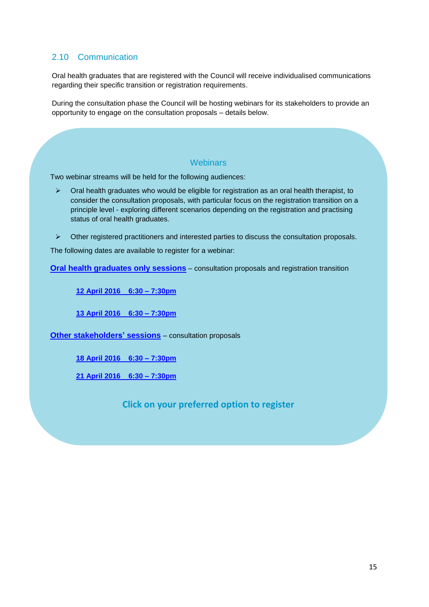# 2.10 Communication

Oral health graduates that are registered with the Council will receive individualised communications regarding their specific transition or registration requirements.

During the consultation phase the Council will be hosting webinars for its stakeholders to provide an opportunity to engage on the consultation proposals – details below.

### **Webinars**

Two webinar streams will be held for the following audiences:

- $\triangleright$  Oral health graduates who would be eligible for registration as an oral health therapist, to consider the consultation proposals, with particular focus on the registration transition on a principle level - exploring different scenarios depending on the registration and practising status of oral health graduates.
- $\triangleright$  Other registered practitioners and interested parties to discuss the consultation proposals.

The following dates are available to register for a webinar:

**[Oral health graduates only sessions](https://www.eventbrite.co.nz/e/consultation-oral-health-therapy-scope-of-practice-oral-health-graduates-only-tickets-24301206563)** – consultation proposals and registration transition

**[12 April 2016 6:30 –](https://www.eventbrite.co.nz/e/consultation-oral-health-therapy-scope-of-practice-oral-health-graduates-only-tickets-24301206563) 7:30pm** 

**[13 April 2016 6:30 –](https://www.eventbrite.co.nz/e/consultation-oral-health-therapy-scope-of-practice-oral-health-graduates-only-tickets-24301206563) 7:30pm** 

**[Other stakeholders'](https://www.eventbrite.co.nz/e/consultation-oral-health-therapy-scope-of-practice-stakeholders-tickets-24308542505) sessions** – consultation proposals

**[18 April 2016 6:30 –](https://www.eventbrite.co.nz/e/consultation-oral-health-therapy-scope-of-practice-stakeholders-tickets-24308542505) 7:30pm** 

**[21 April 2016 6:30 –](https://www.eventbrite.co.nz/e/consultation-oral-health-therapy-scope-of-practice-stakeholders-tickets-24308542505) 7:30pm** 

**Click on your preferred option to register**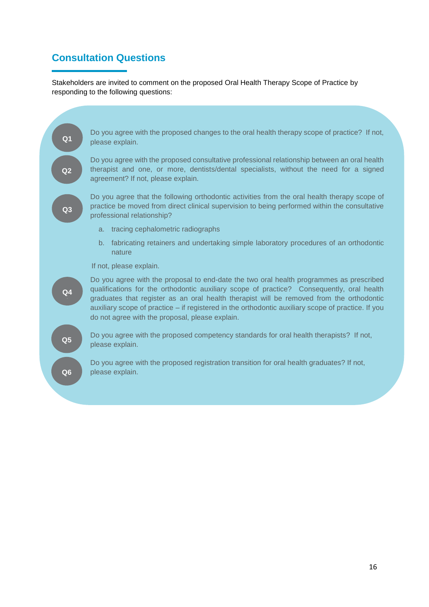# <span id="page-17-0"></span>**Consultation Questions**

Stakeholders are invited to comment on the proposed Oral Health Therapy Scope of Practice by responding to the following questions:

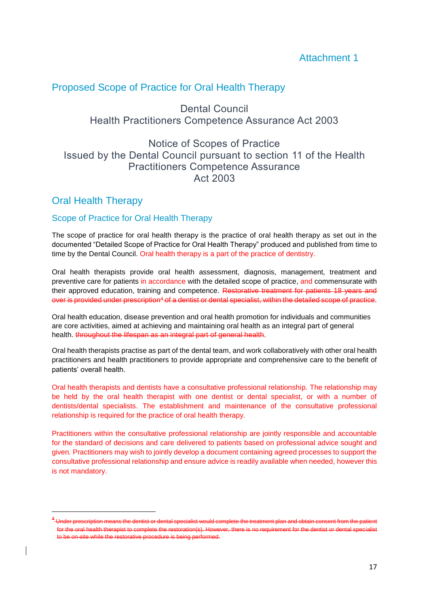# <span id="page-18-0"></span>Proposed Scope of Practice for Oral Health Therapy

Dental Council Health Practitioners Competence Assurance Act 2003

# Notice of Scopes of Practice Issued by the Dental Council pursuant to section 11 of the Health Practitioners Competence Assurance Act 2003

# Oral Health Therapy

**.** 

# Scope of Practice for Oral Health Therapy

The scope of practice for oral health therapy is the practice of oral health therapy as set out in the documented "Detailed Scope of Practice for Oral Health Therapy" produced and published from time to time by the Dental Council. Oral health therapy is a part of the practice of dentistry.

Oral health therapists provide oral health assessment, diagnosis, management, treatment and preventive care for patients in accordance with the detailed scope of practice, and commensurate with their approved education, training and competence. Restorative treatment for patients 18 years and over is provided under prescription<sup>4</sup> of a dentist or dental specialist, within the detailed scope of practice.

Oral health education, disease prevention and oral health promotion for individuals and communities are core activities, aimed at achieving and maintaining oral health as an integral part of general health. throughout the lifespan as an integral part of general health.

Oral health therapists practise as part of the dental team, and work collaboratively with other oral health practitioners and health practitioners to provide appropriate and comprehensive care to the benefit of patients' overall health.

Oral health therapists and dentists have a consultative professional relationship. The relationship may be held by the oral health therapist with one dentist or dental specialist, or with a number of dentists/dental specialists. The establishment and maintenance of the consultative professional relationship is required for the practice of oral health therapy.

Practitioners within the consultative professional relationship are jointly responsible and accountable for the standard of decisions and care delivered to patients based on professional advice sought and given. Practitioners may wish to jointly develop a document containing agreed processes to support the consultative professional relationship and ensure advice is readily available when needed, however this is not mandatory.

<sup>.&</sup>lt;br>-Under prescription means the dentist or dental specialist would complete the treatment plan and obtain consent from the patient for the oral health therapist to complete the restoration(s). However, there is no requirement for the dentist or dental specialist to be on-site while the restorative procedure is being performed.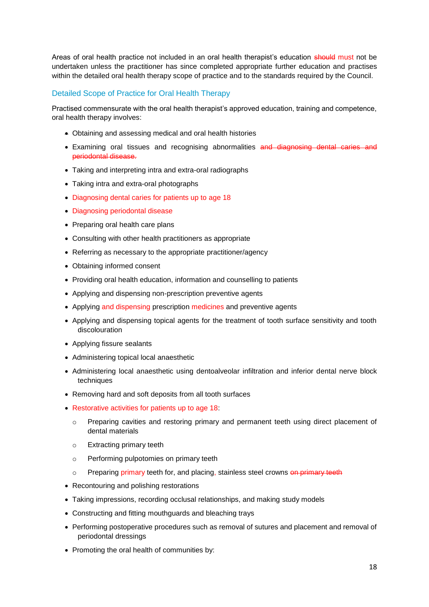Areas of oral health practice not included in an oral health therapist's education should must not be undertaken unless the practitioner has since completed appropriate further education and practises within the detailed oral health therapy scope of practice and to the standards required by the Council.

## Detailed Scope of Practice for Oral Health Therapy

Practised commensurate with the oral health therapist's approved education, training and competence, oral health therapy involves:

- Obtaining and assessing medical and oral health histories
- Examining oral tissues and recognising abnormalities and diagnosing dental caries and periodontal disease.
- Taking and interpreting intra and extra-oral radiographs
- Taking intra and extra-oral photographs
- Diagnosing dental caries for patients up to age 18
- Diagnosing periodontal disease
- Preparing oral health care plans
- Consulting with other health practitioners as appropriate
- Referring as necessary to the appropriate practitioner/agency
- Obtaining informed consent
- Providing oral health education, information and counselling to patients
- Applying and dispensing non-prescription preventive agents
- Applying and dispensing prescription medicines and preventive agents
- Applying and dispensing topical agents for the treatment of tooth surface sensitivity and tooth discolouration
- Applying fissure sealants
- Administering topical local anaesthetic
- Administering local anaesthetic using dentoalveolar infiltration and inferior dental nerve block techniques
- Removing hard and soft deposits from all tooth surfaces
- Restorative activities for patients up to age 18:
	- o Preparing cavities and restoring primary and permanent teeth using direct placement of dental materials
	- o Extracting primary teeth
	- o Performing pulpotomies on primary teeth
	- o Preparing primary teeth for, and placing, stainless steel crowns on primary teeth
- Recontouring and polishing restorations
- Taking impressions, recording occlusal relationships, and making study models
- Constructing and fitting mouthguards and bleaching trays
- Performing postoperative procedures such as removal of sutures and placement and removal of periodontal dressings
- Promoting the oral health of communities by: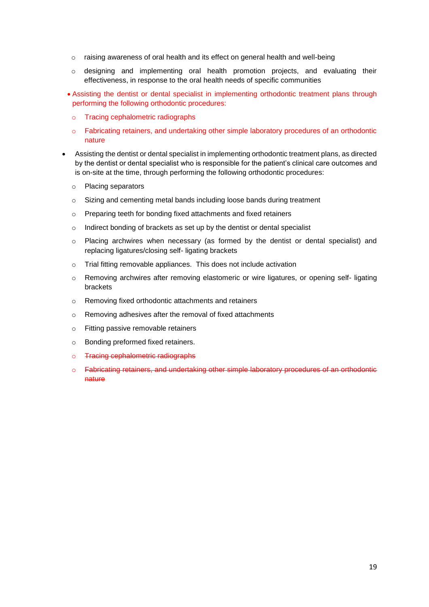- $\circ$  raising awareness of oral health and its effect on general health and well-being
- $\circ$  designing and implementing oral health promotion projects, and evaluating their effectiveness, in response to the oral health needs of specific communities
- Assisting the dentist or dental specialist in implementing orthodontic treatment plans through performing the following orthodontic procedures:
	- o Tracing cephalometric radiographs
	- o Fabricating retainers, and undertaking other simple laboratory procedures of an orthodontic nature
- Assisting the dentist or dental specialist in implementing orthodontic treatment plans, as directed by the dentist or dental specialist who is responsible for the patient's clinical care outcomes and is on-site at the time, through performing the following orthodontic procedures:
	- o Placing separators
	- $\circ$  Sizing and cementing metal bands including loose bands during treatment
	- o Preparing teeth for bonding fixed attachments and fixed retainers
	- o Indirect bonding of brackets as set up by the dentist or dental specialist
	- $\circ$  Placing archwires when necessary (as formed by the dentist or dental specialist) and replacing ligatures/closing self- ligating brackets
	- o Trial fitting removable appliances. This does not include activation
	- o Removing archwires after removing elastomeric or wire ligatures, or opening self- ligating brackets
	- o Removing fixed orthodontic attachments and retainers
	- o Removing adhesives after the removal of fixed attachments
	- o Fitting passive removable retainers
	- o Bonding preformed fixed retainers.
	- o **Tracing cephalometric radiographs**
	- o Fabricating retainers, and undertaking other simple laboratory procedures of an orthodontic nature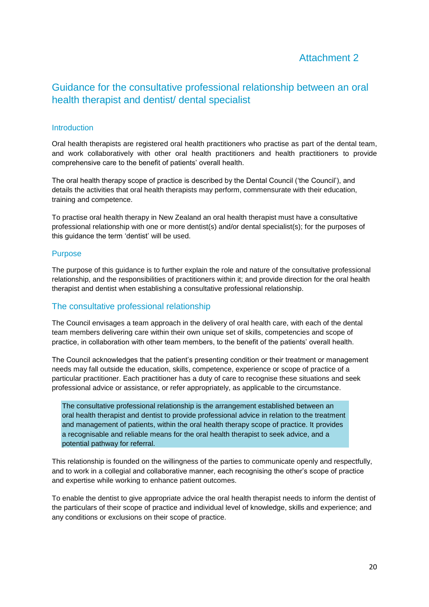# Attachment 2

# <span id="page-21-0"></span>Guidance for the consultative professional relationship between an oral health therapist and dentist/ dental specialist

### **Introduction**

Oral health therapists are registered oral health practitioners who practise as part of the dental team, and work collaboratively with other oral health practitioners and health practitioners to provide comprehensive care to the benefit of patients' overall health.

The oral health therapy scope of practice is described by the Dental Council ('the Council'), and details the activities that oral health therapists may perform, commensurate with their education, training and competence.

To practise oral health therapy in New Zealand an oral health therapist must have a consultative professional relationship with one or more dentist(s) and/or dental specialist(s); for the purposes of this guidance the term 'dentist' will be used.

#### Purpose

The purpose of this guidance is to further explain the role and nature of the consultative professional relationship, and the responsibilities of practitioners within it; and provide direction for the oral health therapist and dentist when establishing a consultative professional relationship.

## The consultative professional relationship

The Council envisages a team approach in the delivery of oral health care, with each of the dental team members delivering care within their own unique set of skills, competencies and scope of practice, in collaboration with other team members, to the benefit of the patients' overall health.

The Council acknowledges that the patient's presenting condition or their treatment or management needs may fall outside the education, skills, competence, experience or scope of practice of a particular practitioner. Each practitioner has a duty of care to recognise these situations and seek professional advice or assistance, or refer appropriately, as applicable to the circumstance.

The consultative professional relationship is the arrangement established between an oral health therapist and dentist to provide professional advice in relation to the treatment and management of patients, within the oral health therapy scope of practice. It provides a recognisable and reliable means for the oral health therapist to seek advice, and a potential pathway for referral.

This relationship is founded on the willingness of the parties to communicate openly and respectfully, and to work in a collegial and collaborative manner, each recognising the other's scope of practice and expertise while working to enhance patient outcomes.

To enable the dentist to give appropriate advice the oral health therapist needs to inform the dentist of the particulars of their scope of practice and individual level of knowledge, skills and experience; and any conditions or exclusions on their scope of practice.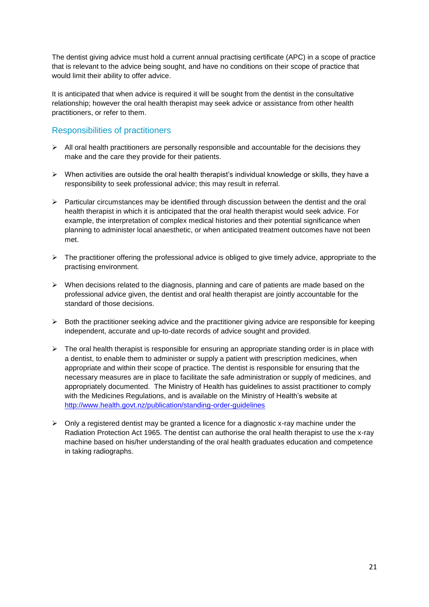The dentist giving advice must hold a current annual practising certificate (APC) in a scope of practice that is relevant to the advice being sought, and have no conditions on their scope of practice that would limit their ability to offer advice.

It is anticipated that when advice is required it will be sought from the dentist in the consultative relationship; however the oral health therapist may seek advice or assistance from other health practitioners, or refer to them.

# Responsibilities of practitioners

- $\triangleright$  All oral health practitioners are personally responsible and accountable for the decisions they make and the care they provide for their patients.
- $\triangleright$  When activities are outside the oral health therapist's individual knowledge or skills, they have a responsibility to seek professional advice; this may result in referral.
- $\triangleright$  Particular circumstances may be identified through discussion between the dentist and the oral health therapist in which it is anticipated that the oral health therapist would seek advice. For example, the interpretation of complex medical histories and their potential significance when planning to administer local anaesthetic, or when anticipated treatment outcomes have not been met.
- $\triangleright$  The practitioner offering the professional advice is obliged to give timely advice, appropriate to the practising environment.
- $\triangleright$  When decisions related to the diagnosis, planning and care of patients are made based on the professional advice given, the dentist and oral health therapist are jointly accountable for the standard of those decisions.
- $\triangleright$  Both the practitioner seeking advice and the practitioner giving advice are responsible for keeping independent, accurate and up-to-date records of advice sought and provided.
- $\triangleright$  The oral health therapist is responsible for ensuring an appropriate standing order is in place with a dentist, to enable them to administer or supply a patient with prescription medicines, when appropriate and within their scope of practice. The dentist is responsible for ensuring that the necessary measures are in place to facilitate the safe administration or supply of medicines, and appropriately documented. The Ministry of Health has guidelines to assist practitioner to comply with the Medicines Regulations, and is available on the Ministry of Health's website at <http://www.health.govt.nz/publication/standing-order-guidelines>
- $\triangleright$  Only a registered dentist may be granted a licence for a diagnostic x-ray machine under the Radiation Protection Act 1965. The dentist can authorise the oral health therapist to use the x-ray machine based on his/her understanding of the oral health graduates education and competence in taking radiographs.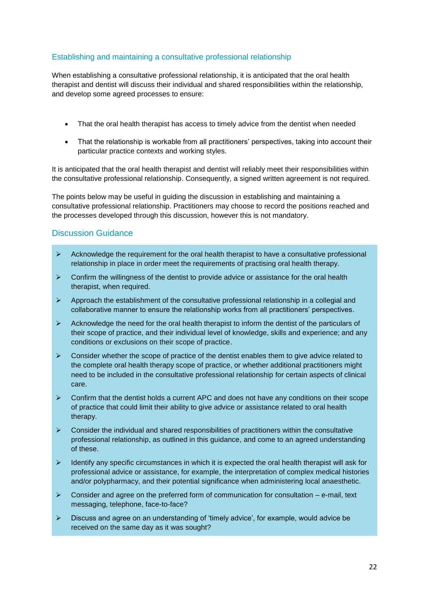### Establishing and maintaining a consultative professional relationship

When establishing a consultative professional relationship, it is anticipated that the oral health therapist and dentist will discuss their individual and shared responsibilities within the relationship, and develop some agreed processes to ensure:

- That the oral health therapist has access to timely advice from the dentist when needed
- That the relationship is workable from all practitioners' perspectives, taking into account their particular practice contexts and working styles.

It is anticipated that the oral health therapist and dentist will reliably meet their responsibilities within the consultative professional relationship. Consequently, a signed written agreement is not required.

The points below may be useful in guiding the discussion in establishing and maintaining a consultative professional relationship. Practitioners may choose to record the positions reached and the processes developed through this discussion, however this is not mandatory.

### Discussion Guidance

- $\triangleright$  Acknowledge the requirement for the oral health therapist to have a consultative professional relationship in place in order meet the requirements of practising oral health therapy.
- $\triangleright$  Confirm the willingness of the dentist to provide advice or assistance for the oral health therapist, when required.
- $\triangleright$  Approach the establishment of the consultative professional relationship in a collegial and collaborative manner to ensure the relationship works from all practitioners' perspectives.
- $\triangleright$  Acknowledge the need for the oral health therapist to inform the dentist of the particulars of their scope of practice, and their individual level of knowledge, skills and experience; and any conditions or exclusions on their scope of practice.
- $\triangleright$  Consider whether the scope of practice of the dentist enables them to give advice related to the complete oral health therapy scope of practice, or whether additional practitioners might need to be included in the consultative professional relationship for certain aspects of clinical care.
- $\triangleright$  Confirm that the dentist holds a current APC and does not have any conditions on their scope of practice that could limit their ability to give advice or assistance related to oral health therapy.
- $\triangleright$  Consider the individual and shared responsibilities of practitioners within the consultative professional relationship, as outlined in this guidance, and come to an agreed understanding of these.
- $\triangleright$  Identify any specific circumstances in which it is expected the oral health therapist will ask for professional advice or assistance, for example, the interpretation of complex medical histories and/or polypharmacy, and their potential significance when administering local anaesthetic.
- $\triangleright$  Consider and agree on the preferred form of communication for consultation e-mail, text messaging, telephone, face-to-face?
- $\triangleright$  Discuss and agree on an understanding of 'timely advice', for example, would advice be received on the same day as it was sought?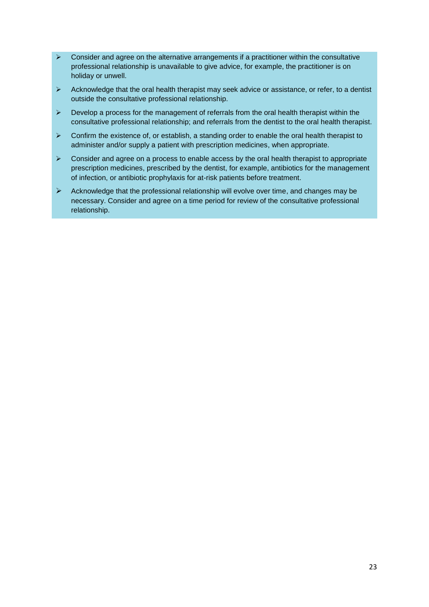- $\triangleright$  Consider and agree on the alternative arrangements if a practitioner within the consultative professional relationship is unavailable to give advice, for example, the practitioner is on holiday or unwell.
- $\triangleright$  Acknowledge that the oral health therapist may seek advice or assistance, or refer, to a dentist outside the consultative professional relationship.
- $\triangleright$  Develop a process for the management of referrals from the oral health therapist within the consultative professional relationship; and referrals from the dentist to the oral health therapist.
- $\triangleright$  Confirm the existence of, or establish, a standing order to enable the oral health therapist to administer and/or supply a patient with prescription medicines, when appropriate.
- $\triangleright$  Consider and agree on a process to enable access by the oral health therapist to appropriate prescription medicines, prescribed by the dentist, for example, antibiotics for the management of infection, or antibiotic prophylaxis for at-risk patients before treatment.
- $\triangleright$  Acknowledge that the professional relationship will evolve over time, and changes may be necessary. Consider and agree on a time period for review of the consultative professional relationship.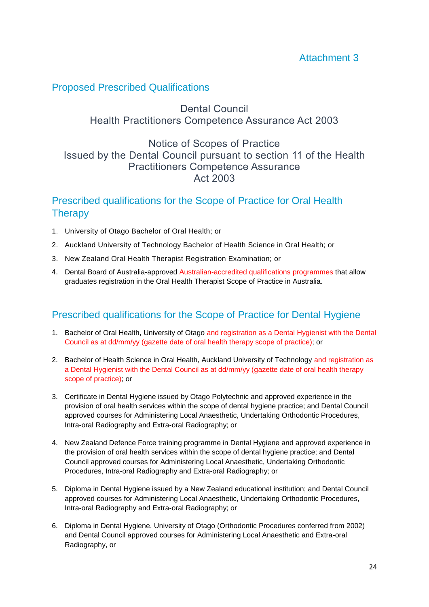# Attachment 3

# <span id="page-25-0"></span>Proposed Prescribed Qualifications

# Dental Council Health Practitioners Competence Assurance Act 2003

# Notice of Scopes of Practice Issued by the Dental Council pursuant to section 11 of the Health Practitioners Competence Assurance Act 2003

# Prescribed qualifications for the Scope of Practice for Oral Health **Therapy**

- 1. University of Otago Bachelor of Oral Health; or
- 2. Auckland University of Technology Bachelor of Health Science in Oral Health; or
- 3. New Zealand Oral Health Therapist Registration Examination; or
- 4. Dental Board of Australia-approved Australian-accredited qualifications programmes that allow graduates registration in the Oral Health Therapist Scope of Practice in Australia.

# Prescribed qualifications for the Scope of Practice for Dental Hygiene

- 1. Bachelor of Oral Health, University of Otago and registration as a Dental Hygienist with the Dental Council as at dd/mm/yy (gazette date of oral health therapy scope of practice); or
- 2. Bachelor of Health Science in Oral Health, Auckland University of Technology and registration as a Dental Hygienist with the Dental Council as at dd/mm/yy (gazette date of oral health therapy scope of practice); or
- 3. Certificate in Dental Hygiene issued by Otago Polytechnic and approved experience in the provision of oral health services within the scope of dental hygiene practice; and Dental Council approved courses for Administering Local Anaesthetic, Undertaking Orthodontic Procedures, Intra-oral Radiography and Extra-oral Radiography; or
- 4. New Zealand Defence Force training programme in Dental Hygiene and approved experience in the provision of oral health services within the scope of dental hygiene practice; and Dental Council approved courses for Administering Local Anaesthetic, Undertaking Orthodontic Procedures, Intra-oral Radiography and Extra-oral Radiography; or
- 5. Diploma in Dental Hygiene issued by a New Zealand educational institution; and Dental Council approved courses for Administering Local Anaesthetic, Undertaking Orthodontic Procedures, Intra-oral Radiography and Extra-oral Radiography; or
- 6. Diploma in Dental Hygiene, University of Otago (Orthodontic Procedures conferred from 2002) and Dental Council approved courses for Administering Local Anaesthetic and Extra-oral Radiography, or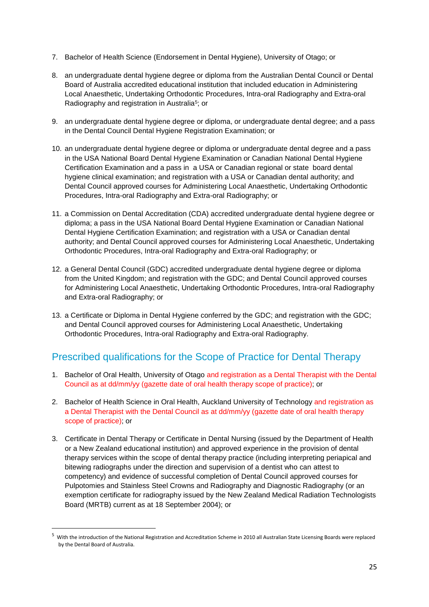- 7. Bachelor of Health Science (Endorsement in Dental Hygiene), University of Otago; or
- 8. an undergraduate dental hygiene degree or diploma from the Australian Dental Council or Dental Board of Australia accredited educational institution that included education in Administering Local Anaesthetic, Undertaking Orthodontic Procedures, Intra-oral Radiography and Extra-oral Radiography and registration in Australia<sup>5</sup>; or
- 9. an undergraduate dental hygiene degree or diploma, or undergraduate dental degree; and a pass in the Dental Council Dental Hygiene Registration Examination; or
- 10. an undergraduate dental hygiene degree or diploma or undergraduate dental degree and a pass in the USA National Board Dental Hygiene Examination or Canadian National Dental Hygiene Certification Examination and a pass in a USA or Canadian regional or state board dental hygiene clinical examination; and registration with a USA or Canadian dental authority; and Dental Council approved courses for Administering Local Anaesthetic, Undertaking Orthodontic Procedures, Intra-oral Radiography and Extra-oral Radiography; or
- 11. a Commission on Dental Accreditation (CDA) accredited undergraduate dental hygiene degree or diploma; a pass in the USA National Board Dental Hygiene Examination or Canadian National Dental Hygiene Certification Examination; and registration with a USA or Canadian dental authority; and Dental Council approved courses for Administering Local Anaesthetic, Undertaking Orthodontic Procedures, Intra-oral Radiography and Extra-oral Radiography; or
- 12. a General Dental Council (GDC) accredited undergraduate dental hygiene degree or diploma from the United Kingdom; and registration with the GDC; and Dental Council approved courses for Administering Local Anaesthetic, Undertaking Orthodontic Procedures, Intra-oral Radiography and Extra-oral Radiography; or
- 13. a Certificate or Diploma in Dental Hygiene conferred by the GDC; and registration with the GDC; and Dental Council approved courses for Administering Local Anaesthetic, Undertaking Orthodontic Procedures, Intra-oral Radiography and Extra-oral Radiography.

# Prescribed qualifications for the Scope of Practice for Dental Therapy

- 1. Bachelor of Oral Health, University of Otago and registration as a Dental Therapist with the Dental Council as at dd/mm/yy (gazette date of oral health therapy scope of practice); or
- 2. Bachelor of Health Science in Oral Health, Auckland University of Technology and registration as a Dental Therapist with the Dental Council as at dd/mm/yy (gazette date of oral health therapy scope of practice); or
- 3. Certificate in Dental Therapy or Certificate in Dental Nursing (issued by the Department of Health or a New Zealand educational institution) and approved experience in the provision of dental therapy services within the scope of dental therapy practice (including interpreting periapical and bitewing radiographs under the direction and supervision of a dentist who can attest to competency) and evidence of successful completion of Dental Council approved courses for Pulpotomies and Stainless Steel Crowns and Radiography and Diagnostic Radiography (or an exemption certificate for radiography issued by the New Zealand Medical Radiation Technologists Board (MRTB) current as at 18 September 2004); or

 $\overline{a}$ 

<sup>5</sup> With the introduction of the National Registration and Accreditation Scheme in 2010 all Australian State Licensing Boards were replaced by the Dental Board of Australia.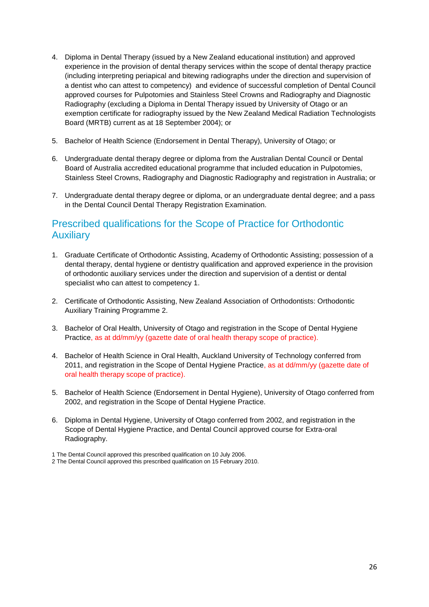- 4. Diploma in Dental Therapy (issued by a New Zealand educational institution) and approved experience in the provision of dental therapy services within the scope of dental therapy practice (including interpreting periapical and bitewing radiographs under the direction and supervision of a dentist who can attest to competency) and evidence of successful completion of Dental Council approved courses for Pulpotomies and Stainless Steel Crowns and Radiography and Diagnostic Radiography (excluding a Diploma in Dental Therapy issued by University of Otago or an exemption certificate for radiography issued by the New Zealand Medical Radiation Technologists Board (MRTB) current as at 18 September 2004); or
- 5. Bachelor of Health Science (Endorsement in Dental Therapy), University of Otago; or
- 6. Undergraduate dental therapy degree or diploma from the Australian Dental Council or Dental Board of Australia accredited educational programme that included education in Pulpotomies, Stainless Steel Crowns, Radiography and Diagnostic Radiography and registration in Australia; or
- 7. Undergraduate dental therapy degree or diploma, or an undergraduate dental degree; and a pass in the Dental Council Dental Therapy Registration Examination.

# Prescribed qualifications for the Scope of Practice for Orthodontic Auxiliary

- 1. Graduate Certificate of Orthodontic Assisting, Academy of Orthodontic Assisting; possession of a dental therapy, dental hygiene or dentistry qualification and approved experience in the provision of orthodontic auxiliary services under the direction and supervision of a dentist or dental specialist who can attest to competency 1.
- 2. Certificate of Orthodontic Assisting, New Zealand Association of Orthodontists: Orthodontic Auxiliary Training Programme 2.
- 3. Bachelor of Oral Health, University of Otago and registration in the Scope of Dental Hygiene Practice, as at dd/mm/yy (gazette date of oral health therapy scope of practice).
- 4. Bachelor of Health Science in Oral Health, Auckland University of Technology conferred from 2011, and registration in the Scope of Dental Hygiene Practice, as at dd/mm/yy (gazette date of oral health therapy scope of practice).
- 5. Bachelor of Health Science (Endorsement in Dental Hygiene), University of Otago conferred from 2002, and registration in the Scope of Dental Hygiene Practice.
- 6. Diploma in Dental Hygiene, University of Otago conferred from 2002, and registration in the Scope of Dental Hygiene Practice, and Dental Council approved course for Extra-oral Radiography.

2 The Dental Council approved this prescribed qualification on 15 February 2010.

<sup>1</sup> The Dental Council approved this prescribed qualification on 10 July 2006.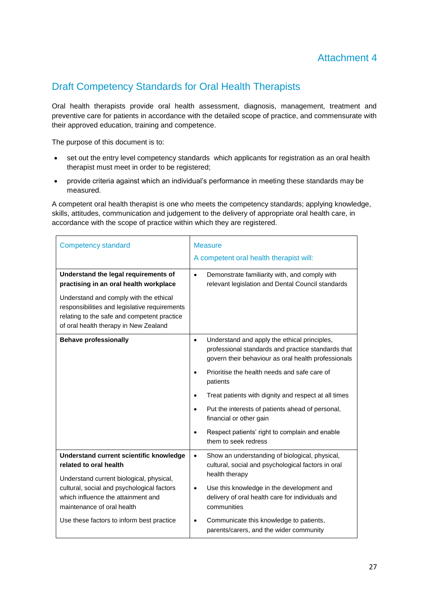# <span id="page-28-0"></span>Draft Competency Standards for Oral Health Therapists

Oral health therapists provide oral health assessment, diagnosis, management, treatment and preventive care for patients in accordance with the detailed scope of practice, and commensurate with their approved education, training and competence.

The purpose of this document is to:

- set out the entry level competency standards which applicants for registration as an oral health therapist must meet in order to be registered;
- provide criteria against which an individual's performance in meeting these standards may be measured.

A competent oral health therapist is one who meets the competency standards; applying knowledge, skills, attitudes, communication and judgement to the delivery of appropriate oral health care, in accordance with the scope of practice within which they are registered.

| <b>Competency standard</b>                                                                                                                                                                                                                                                   | <b>Measure</b><br>A competent oral health therapist will:                                                                                                                                                                                                                                                                                                                                                                                                                                  |
|------------------------------------------------------------------------------------------------------------------------------------------------------------------------------------------------------------------------------------------------------------------------------|--------------------------------------------------------------------------------------------------------------------------------------------------------------------------------------------------------------------------------------------------------------------------------------------------------------------------------------------------------------------------------------------------------------------------------------------------------------------------------------------|
| Understand the legal requirements of<br>practising in an oral health workplace<br>Understand and comply with the ethical<br>responsibilities and legislative requirements<br>relating to the safe and competent practice<br>of oral health therapy in New Zealand            | Demonstrate familiarity with, and comply with<br>$\bullet$<br>relevant legislation and Dental Council standards                                                                                                                                                                                                                                                                                                                                                                            |
| <b>Behave professionally</b>                                                                                                                                                                                                                                                 | Understand and apply the ethical principles,<br>$\bullet$<br>professional standards and practice standards that<br>govern their behaviour as oral health professionals<br>Prioritise the health needs and safe care of<br>patients<br>Treat patients with dignity and respect at all times<br>$\bullet$<br>Put the interests of patients ahead of personal,<br>$\bullet$<br>financial or other gain<br>Respect patients' right to complain and enable<br>$\bullet$<br>them to seek redress |
| Understand current scientific knowledge<br>related to oral health<br>Understand current biological, physical,<br>cultural, social and psychological factors<br>which influence the attainment and<br>maintenance of oral health<br>Use these factors to inform best practice | Show an understanding of biological, physical,<br>$\bullet$<br>cultural, social and psychological factors in oral<br>health therapy<br>Use this knowledge in the development and<br>$\bullet$<br>delivery of oral health care for individuals and<br>communities<br>Communicate this knowledge to patients,<br>٠<br>parents/carers, and the wider community                                                                                                                                |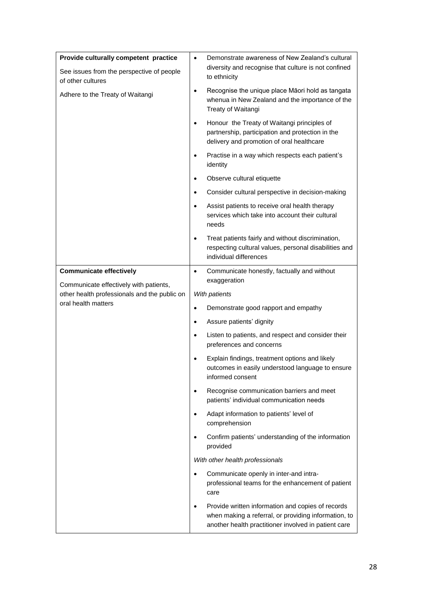| Provide culturally competent practice                               | $\bullet$ | Demonstrate awareness of New Zealand's cultural                                                                                                                   |
|---------------------------------------------------------------------|-----------|-------------------------------------------------------------------------------------------------------------------------------------------------------------------|
| See issues from the perspective of people<br>of other cultures      |           | diversity and recognise that culture is not confined<br>to ethnicity                                                                                              |
| Adhere to the Treaty of Waitangi                                    | ٠         | Recognise the unique place Māori hold as tangata<br>whenua in New Zealand and the importance of the<br>Treaty of Waitangi                                         |
|                                                                     | $\bullet$ | Honour the Treaty of Waitangi principles of<br>partnership, participation and protection in the<br>delivery and promotion of oral healthcare                      |
|                                                                     | ٠         | Practise in a way which respects each patient's<br>identity                                                                                                       |
|                                                                     | ٠         | Observe cultural etiquette                                                                                                                                        |
|                                                                     | ٠         | Consider cultural perspective in decision-making                                                                                                                  |
|                                                                     | $\bullet$ | Assist patients to receive oral health therapy<br>services which take into account their cultural<br>needs                                                        |
|                                                                     | ٠         | Treat patients fairly and without discrimination,<br>respecting cultural values, personal disabilities and<br>individual differences                              |
| <b>Communicate effectively</b>                                      | $\bullet$ | Communicate honestly, factually and without                                                                                                                       |
| Communicate effectively with patients,                              |           | exaggeration                                                                                                                                                      |
| other health professionals and the public on<br>oral health matters |           | With patients                                                                                                                                                     |
|                                                                     | $\bullet$ | Demonstrate good rapport and empathy                                                                                                                              |
|                                                                     | ٠         | Assure patients' dignity                                                                                                                                          |
|                                                                     | $\bullet$ | Listen to patients, and respect and consider their<br>preferences and concerns                                                                                    |
|                                                                     | ٠         | Explain findings, treatment options and likely<br>outcomes in easily understood language to ensure<br>informed consent                                            |
|                                                                     | ٠         | Recognise communication barriers and meet<br>patients' individual communication needs                                                                             |
|                                                                     | $\bullet$ | Adapt information to patients' level of<br>comprehension                                                                                                          |
|                                                                     | $\bullet$ | Confirm patients' understanding of the information<br>provided                                                                                                    |
|                                                                     |           | With other health professionals                                                                                                                                   |
|                                                                     | $\bullet$ | Communicate openly in inter-and intra-<br>professional teams for the enhancement of patient<br>care                                                               |
|                                                                     | $\bullet$ | Provide written information and copies of records<br>when making a referral, or providing information, to<br>another health practitioner involved in patient care |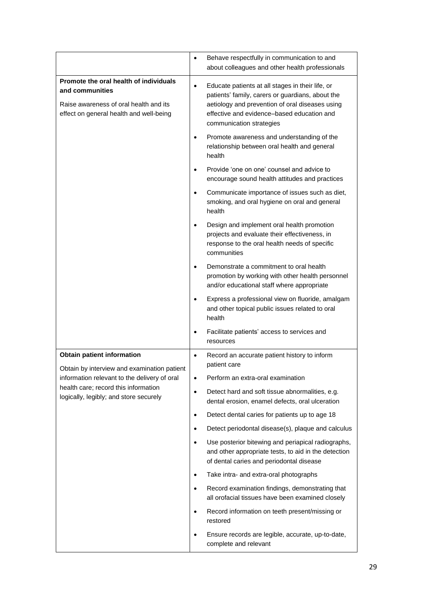|                                                                                                                                                                                                                    | Behave respectfully in communication to and<br>$\bullet$<br>about colleagues and other health professionals                                                                                                                                    |
|--------------------------------------------------------------------------------------------------------------------------------------------------------------------------------------------------------------------|------------------------------------------------------------------------------------------------------------------------------------------------------------------------------------------------------------------------------------------------|
| Promote the oral health of individuals<br>and communities<br>Raise awareness of oral health and its<br>effect on general health and well-being                                                                     | Educate patients at all stages in their life, or<br>$\bullet$<br>patients' family, carers or guardians, about the<br>aetiology and prevention of oral diseases using<br>effective and evidence-based education and<br>communication strategies |
|                                                                                                                                                                                                                    | Promote awareness and understanding of the<br>$\bullet$<br>relationship between oral health and general<br>health                                                                                                                              |
|                                                                                                                                                                                                                    | Provide 'one on one' counsel and advice to<br>$\bullet$<br>encourage sound health attitudes and practices                                                                                                                                      |
|                                                                                                                                                                                                                    | Communicate importance of issues such as diet,<br>$\bullet$<br>smoking, and oral hygiene on oral and general<br>health                                                                                                                         |
|                                                                                                                                                                                                                    | Design and implement oral health promotion<br>$\bullet$<br>projects and evaluate their effectiveness, in<br>response to the oral health needs of specific<br>communities                                                                       |
|                                                                                                                                                                                                                    | Demonstrate a commitment to oral health<br>$\bullet$<br>promotion by working with other health personnel<br>and/or educational staff where appropriate                                                                                         |
|                                                                                                                                                                                                                    | Express a professional view on fluoride, amalgam<br>$\bullet$<br>and other topical public issues related to oral<br>health                                                                                                                     |
|                                                                                                                                                                                                                    | Facilitate patients' access to services and<br>$\bullet$<br>resources                                                                                                                                                                          |
| <b>Obtain patient information</b><br>Obtain by interview and examination patient<br>information relevant to the delivery of oral<br>health care; record this information<br>logically, legibly; and store securely | Record an accurate patient history to inform<br>$\bullet$<br>patient care                                                                                                                                                                      |
|                                                                                                                                                                                                                    | Perform an extra-oral examination<br>$\bullet$                                                                                                                                                                                                 |
|                                                                                                                                                                                                                    | Detect hard and soft tissue abnormalities, e.g.<br>$\bullet$<br>dental erosion, enamel defects, oral ulceration                                                                                                                                |
|                                                                                                                                                                                                                    | Detect dental caries for patients up to age 18<br>$\bullet$                                                                                                                                                                                    |
|                                                                                                                                                                                                                    | Detect periodontal disease(s), plaque and calculus<br>$\bullet$                                                                                                                                                                                |
|                                                                                                                                                                                                                    | Use posterior bitewing and periapical radiographs,<br>$\bullet$<br>and other appropriate tests, to aid in the detection<br>of dental caries and periodontal disease                                                                            |
|                                                                                                                                                                                                                    | Take intra- and extra-oral photographs<br>$\bullet$                                                                                                                                                                                            |
|                                                                                                                                                                                                                    | Record examination findings, demonstrating that<br>$\bullet$<br>all orofacial tissues have been examined closely                                                                                                                               |
|                                                                                                                                                                                                                    | Record information on teeth present/missing or<br>$\bullet$<br>restored                                                                                                                                                                        |
|                                                                                                                                                                                                                    | Ensure records are legible, accurate, up-to-date,<br>$\bullet$<br>complete and relevant                                                                                                                                                        |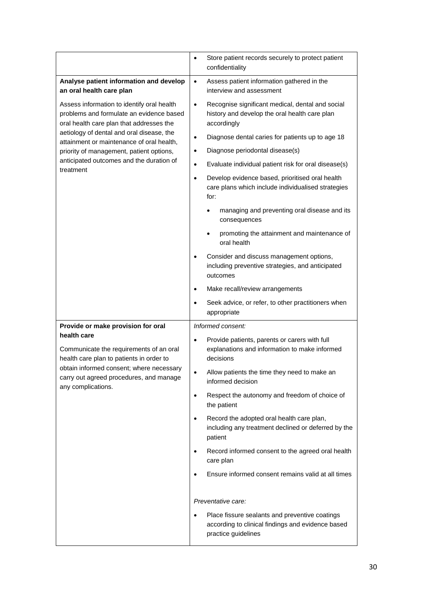|                                                                                                                                                                                                                 | $\bullet$ | Store patient records securely to protect patient<br>confidentiality                                                       |
|-----------------------------------------------------------------------------------------------------------------------------------------------------------------------------------------------------------------|-----------|----------------------------------------------------------------------------------------------------------------------------|
| Analyse patient information and develop<br>an oral health care plan                                                                                                                                             | $\bullet$ | Assess patient information gathered in the<br>interview and assessment                                                     |
| Assess information to identify oral health<br>problems and formulate an evidence based<br>oral health care plan that addresses the                                                                              | $\bullet$ | Recognise significant medical, dental and social<br>history and develop the oral health care plan<br>accordingly           |
| aetiology of dental and oral disease, the<br>attainment or maintenance of oral health,                                                                                                                          | $\bullet$ | Diagnose dental caries for patients up to age 18                                                                           |
| priority of management, patient options,                                                                                                                                                                        | $\bullet$ | Diagnose periodontal disease(s)                                                                                            |
| anticipated outcomes and the duration of                                                                                                                                                                        | $\bullet$ | Evaluate individual patient risk for oral disease(s)                                                                       |
| treatment                                                                                                                                                                                                       | $\bullet$ | Develop evidence based, prioritised oral health<br>care plans which include individualised strategies<br>for:              |
|                                                                                                                                                                                                                 |           | managing and preventing oral disease and its<br>consequences                                                               |
|                                                                                                                                                                                                                 |           | promoting the attainment and maintenance of<br>oral health                                                                 |
|                                                                                                                                                                                                                 | $\bullet$ | Consider and discuss management options,<br>including preventive strategies, and anticipated<br>outcomes                   |
|                                                                                                                                                                                                                 | $\bullet$ | Make recall/review arrangements                                                                                            |
|                                                                                                                                                                                                                 | $\bullet$ | Seek advice, or refer, to other practitioners when<br>appropriate                                                          |
| Provide or make provision for oral                                                                                                                                                                              |           | Informed consent:                                                                                                          |
| health care<br>Communicate the requirements of an oral<br>health care plan to patients in order to<br>obtain informed consent; where necessary<br>carry out agreed procedures, and manage<br>any complications. | $\bullet$ | Provide patients, parents or carers with full<br>explanations and information to make informed<br>decisions                |
|                                                                                                                                                                                                                 |           | Allow patients the time they need to make an<br>informed decision                                                          |
|                                                                                                                                                                                                                 | $\bullet$ | Respect the autonomy and freedom of choice of<br>the patient                                                               |
|                                                                                                                                                                                                                 | $\bullet$ | Record the adopted oral health care plan,<br>including any treatment declined or deferred by the<br>patient                |
|                                                                                                                                                                                                                 | $\bullet$ | Record informed consent to the agreed oral health<br>care plan                                                             |
|                                                                                                                                                                                                                 | $\bullet$ | Ensure informed consent remains valid at all times                                                                         |
|                                                                                                                                                                                                                 |           | Preventative care:                                                                                                         |
|                                                                                                                                                                                                                 | $\bullet$ | Place fissure sealants and preventive coatings<br>according to clinical findings and evidence based<br>practice guidelines |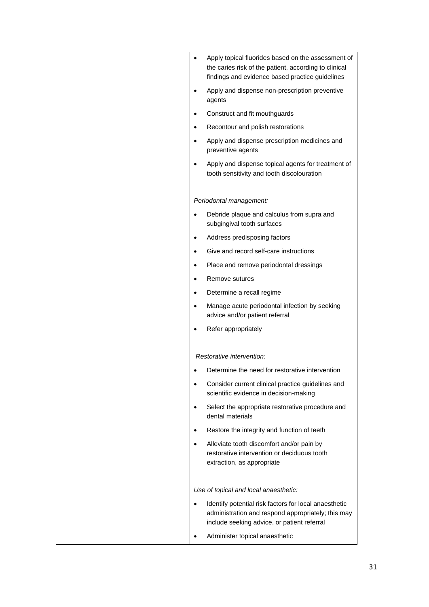| Apply topical fluorides based on the assessment of<br>$\bullet$<br>the caries risk of the patient, according to clinical<br>findings and evidence based practice guidelines |
|-----------------------------------------------------------------------------------------------------------------------------------------------------------------------------|
| Apply and dispense non-prescription preventive<br>agents                                                                                                                    |
| Construct and fit mouthguards                                                                                                                                               |
| Recontour and polish restorations<br>$\bullet$                                                                                                                              |
| Apply and dispense prescription medicines and<br>$\bullet$<br>preventive agents                                                                                             |
| Apply and dispense topical agents for treatment of<br>tooth sensitivity and tooth discolouration                                                                            |
| Periodontal management:                                                                                                                                                     |
| Debride plaque and calculus from supra and<br>$\bullet$<br>subgingival tooth surfaces                                                                                       |
| Address predisposing factors<br>$\bullet$                                                                                                                                   |
| Give and record self-care instructions                                                                                                                                      |
| Place and remove periodontal dressings<br>$\bullet$                                                                                                                         |
| Remove sutures<br>$\bullet$                                                                                                                                                 |
| Determine a recall regime<br>$\bullet$                                                                                                                                      |
| Manage acute periodontal infection by seeking<br>$\bullet$<br>advice and/or patient referral                                                                                |
| Refer appropriately                                                                                                                                                         |
| Restorative intervention:                                                                                                                                                   |
| Determine the need for restorative intervention                                                                                                                             |
| Consider current clinical practice guidelines and<br>$\bullet$<br>scientific evidence in decision-making                                                                    |
| Select the appropriate restorative procedure and<br>$\bullet$<br>dental materials                                                                                           |
| Restore the integrity and function of teeth<br>$\bullet$                                                                                                                    |
| Alleviate tooth discomfort and/or pain by<br>$\bullet$<br>restorative intervention or deciduous tooth<br>extraction, as appropriate                                         |
| Use of topical and local anaesthetic:                                                                                                                                       |
| Identify potential risk factors for local anaesthetic<br>$\bullet$<br>administration and respond appropriately; this may<br>include seeking advice, or patient referral     |
| Administer topical anaesthetic                                                                                                                                              |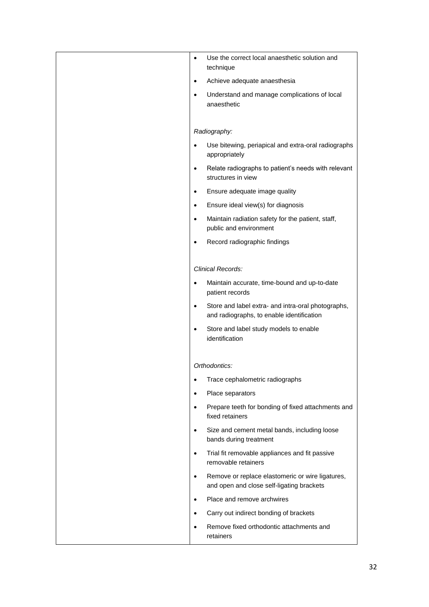| Use the correct local anaesthetic solution and<br>$\bullet$<br>technique                                     |
|--------------------------------------------------------------------------------------------------------------|
| Achieve adequate anaesthesia<br>$\bullet$                                                                    |
| Understand and manage complications of local<br>$\bullet$                                                    |
| anaesthetic                                                                                                  |
| Radiography:                                                                                                 |
| Use bitewing, periapical and extra-oral radiographs<br>appropriately                                         |
| Relate radiographs to patient's needs with relevant<br>$\bullet$<br>structures in view                       |
| Ensure adequate image quality<br>$\bullet$                                                                   |
| Ensure ideal view(s) for diagnosis<br>$\bullet$                                                              |
| Maintain radiation safety for the patient, staff,<br>$\bullet$<br>public and environment                     |
| Record radiographic findings<br>$\bullet$                                                                    |
|                                                                                                              |
| <b>Clinical Records:</b>                                                                                     |
| Maintain accurate, time-bound and up-to-date<br>$\bullet$<br>patient records                                 |
| Store and label extra- and intra-oral photographs,<br>$\bullet$<br>and radiographs, to enable identification |
| Store and label study models to enable<br>$\bullet$<br>identification                                        |
|                                                                                                              |
| Orthodontics:                                                                                                |
| Trace cephalometric radiographs<br>$\bullet$                                                                 |
| Place separators<br>$\bullet$                                                                                |
| Prepare teeth for bonding of fixed attachments and<br>$\bullet$<br>fixed retainers                           |
| Size and cement metal bands, including loose<br>$\bullet$<br>bands during treatment                          |
| Trial fit removable appliances and fit passive<br>$\bullet$<br>removable retainers                           |
| Remove or replace elastomeric or wire ligatures,<br>$\bullet$<br>and open and close self-ligating brackets   |
| Place and remove archwires<br>$\bullet$                                                                      |
| Carry out indirect bonding of brackets                                                                       |
| Remove fixed orthodontic attachments and<br>$\bullet$<br>retainers                                           |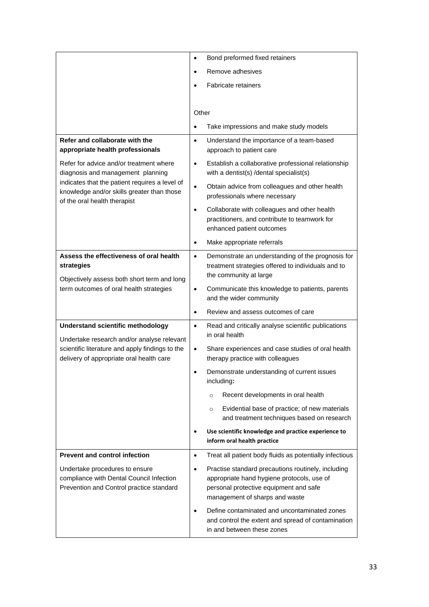|                                                                                                                                                                                       | Bond preformed fixed retainers<br>$\bullet$                                                                                                                                               |
|---------------------------------------------------------------------------------------------------------------------------------------------------------------------------------------|-------------------------------------------------------------------------------------------------------------------------------------------------------------------------------------------|
|                                                                                                                                                                                       | Remove adhesives<br>$\bullet$                                                                                                                                                             |
|                                                                                                                                                                                       | <b>Fabricate retainers</b>                                                                                                                                                                |
|                                                                                                                                                                                       |                                                                                                                                                                                           |
|                                                                                                                                                                                       | Other                                                                                                                                                                                     |
|                                                                                                                                                                                       | Take impressions and make study models<br>$\bullet$                                                                                                                                       |
| Refer and collaborate with the<br>appropriate health professionals                                                                                                                    | Understand the importance of a team-based<br>$\bullet$<br>approach to patient care                                                                                                        |
| Refer for advice and/or treatment where<br>diagnosis and management planning                                                                                                          | Establish a collaborative professional relationship<br>$\bullet$<br>with a dentist(s) /dental specialist(s)                                                                               |
| indicates that the patient requires a level of<br>knowledge and/or skills greater than those                                                                                          | Obtain advice from colleagues and other health<br>$\bullet$<br>professionals where necessary                                                                                              |
| of the oral health therapist                                                                                                                                                          | Collaborate with colleagues and other health<br>$\bullet$<br>practitioners, and contribute to teamwork for<br>enhanced patient outcomes                                                   |
|                                                                                                                                                                                       | Make appropriate referrals<br>$\bullet$                                                                                                                                                   |
| Assess the effectiveness of oral health<br>strategies                                                                                                                                 | Demonstrate an understanding of the prognosis for<br>$\bullet$<br>treatment strategies offered to individuals and to<br>the community at large                                            |
| Objectively assess both short term and long<br>term outcomes of oral health strategies                                                                                                | Communicate this knowledge to patients, parents<br>$\bullet$<br>and the wider community                                                                                                   |
|                                                                                                                                                                                       | Review and assess outcomes of care<br>$\bullet$                                                                                                                                           |
| <b>Understand scientific methodology</b><br>Undertake research and/or analyse relevant<br>scientific literature and apply findings to the<br>delivery of appropriate oral health care | Read and critically analyse scientific publications<br>$\bullet$<br>in oral health                                                                                                        |
|                                                                                                                                                                                       | Share experiences and case studies of oral health<br>$\bullet$<br>therapy practice with colleagues                                                                                        |
|                                                                                                                                                                                       | Demonstrate understanding of current issues<br>including:                                                                                                                                 |
|                                                                                                                                                                                       | Recent developments in oral health<br>$\circ$                                                                                                                                             |
|                                                                                                                                                                                       | Evidential base of practice; of new materials<br>$\circ$<br>and treatment techniques based on research                                                                                    |
|                                                                                                                                                                                       | Use scientific knowledge and practice experience to<br>٠<br>inform oral health practice                                                                                                   |
| <b>Prevent and control infection</b>                                                                                                                                                  | Treat all patient body fluids as potentially infectious<br>$\bullet$                                                                                                                      |
| Undertake procedures to ensure<br>compliance with Dental Council Infection<br>Prevention and Control practice standard                                                                | Practise standard precautions routinely, including<br>$\bullet$<br>appropriate hand hygiene protocols, use of<br>personal protective equipment and safe<br>management of sharps and waste |
|                                                                                                                                                                                       | Define contaminated and uncontaminated zones<br>$\bullet$<br>and control the extent and spread of contamination<br>in and between these zones                                             |